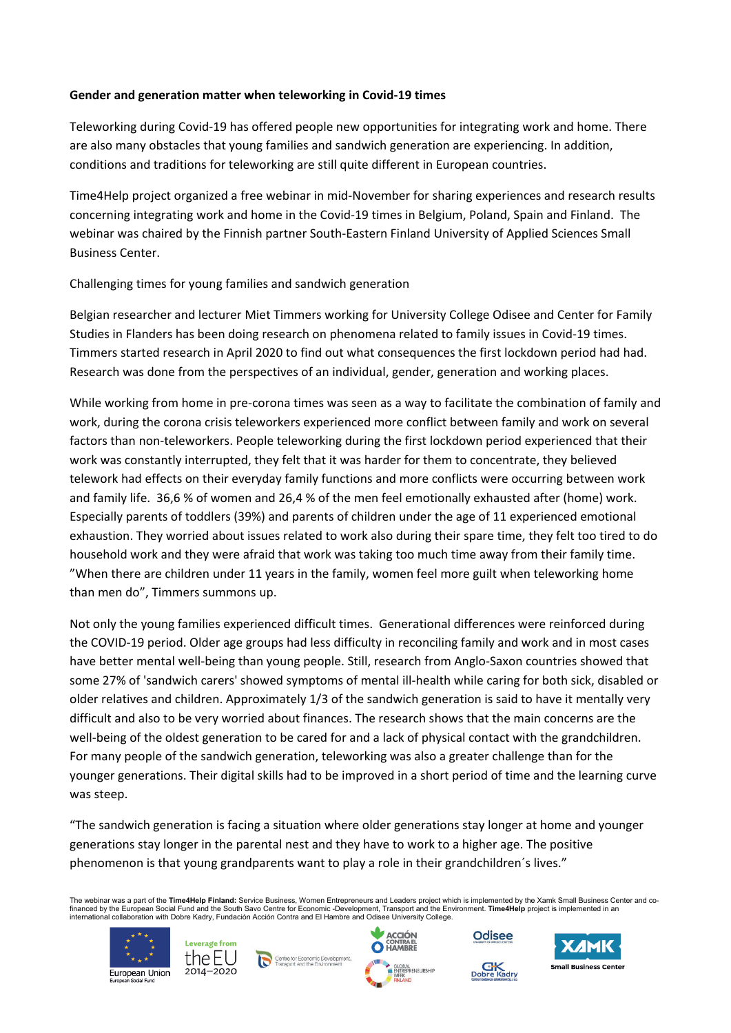## **Gender and generation matter when teleworking in Covid-19 times**

Teleworking during Covid-19 has offered people new opportunities for integrating work and home. There are also many obstacles that young families and sandwich generation are experiencing. In addition, conditions and traditions for teleworking are still quite different in European countries.

Time4Help project organized a free webinar in mid-November for sharing experiences and research results concerning integrating work and home in the Covid-19 times in Belgium, Poland, Spain and Finland. The webinar was chaired by the Finnish partner South-Eastern Finland University of Applied Sciences Small Business Center.

## Challenging times for young families and sandwich generation

Belgian researcher and lecturer Miet Timmers working for University College Odisee and Center for Family Studies in Flanders has been doing research on phenomena related to family issues in Covid-19 times. Timmers started research in April 2020 to find out what consequences the first lockdown period had had. Research was done from the perspectives of an individual, gender, generation and working places.

While working from home in pre-corona times was seen as a way to facilitate the combination of family and work, during the corona crisis teleworkers experienced more conflict between family and work on several factors than non-teleworkers. People teleworking during the first lockdown period experienced that their work was constantly interrupted, they felt that it was harder for them to concentrate, they believed telework had effects on their everyday family functions and more conflicts were occurring between work and family life. 36,6 % of women and 26,4 % of the men feel emotionally exhausted after (home) work. Especially parents of toddlers (39%) and parents of children under the age of 11 experienced emotional exhaustion. They worried about issues related to work also during their spare time, they felt too tired to do household work and they were afraid that work was taking too much time away from their family time. "When there are children under 11 years in the family, women feel more guilt when teleworking home than men do", Timmers summons up.

Not only the young families experienced difficult times. Generational differences were reinforced during the COVID-19 period. Older age groups had less difficulty in reconciling family and work and in most cases have better mental well-being than young people. Still, research from Anglo-Saxon countries showed that some 27% of 'sandwich carers' showed symptoms of mental ill-health while caring for both sick, disabled or older relatives and children. Approximately 1/3 of the sandwich generation is said to have it mentally very difficult and also to be very worried about finances. The research shows that the main concerns are the well-being of the oldest generation to be cared for and a lack of physical contact with the grandchildren. For many people of the sandwich generation, teleworking was also a greater challenge than for the younger generations. Their digital skills had to be improved in a short period of time and the learning curve was steep.

"The sandwich generation is facing a situation where older generations stay longer at home and younger generations stay longer in the parental nest and they have to work to a higher age. The positive phenomenon is that young grandparents want to play a role in their grandchildren´s lives."

The webinar was a part of the **Time4Help Finland:** Service Business, Women Entrepreneurs and Leaders project which is implemented by the Xamk Small Business Center and co-<br>financed by the European Social Fund and the South international collaboration with Dobre Kadry, Fundación Acción Contra and El Hambre and Odisee University College.





Centre for Economic Developm<br>Transport and the Environment





Odisee

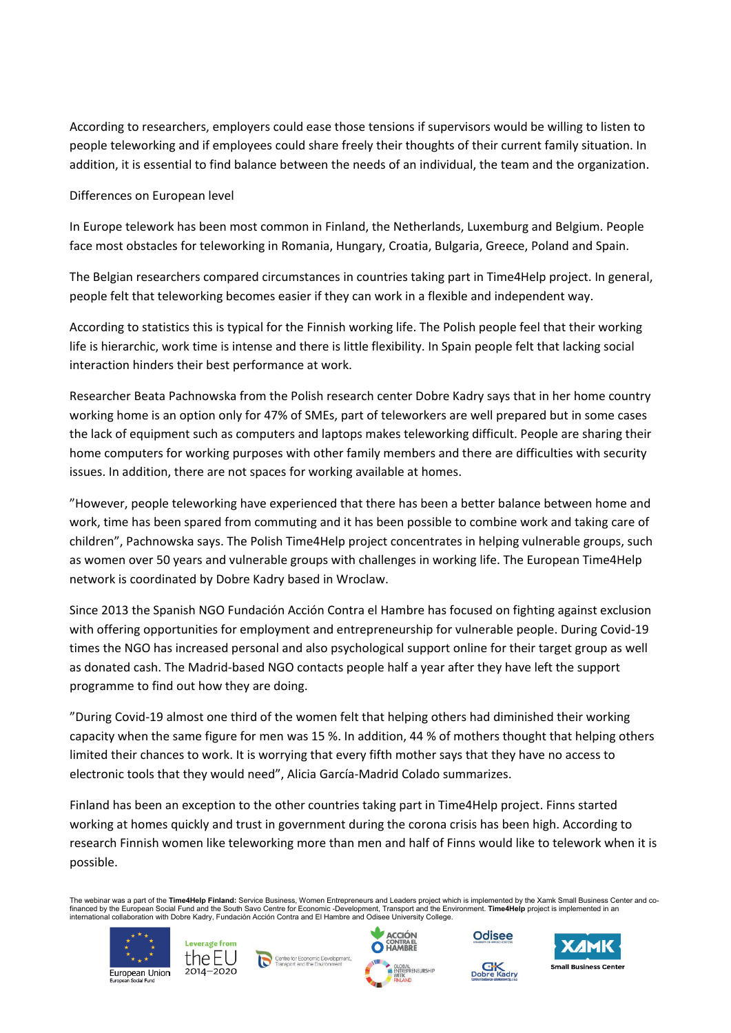According to researchers, employers could ease those tensions if supervisors would be willing to listen to people teleworking and if employees could share freely their thoughts of their current family situation. In addition, it is essential to find balance between the needs of an individual, the team and the organization.

Differences on European level

In Europe telework has been most common in Finland, the Netherlands, Luxemburg and Belgium. People face most obstacles for teleworking in Romania, Hungary, Croatia, Bulgaria, Greece, Poland and Spain.

The Belgian researchers compared circumstances in countries taking part in Time4Help project. In general, people felt that teleworking becomes easier if they can work in a flexible and independent way.

According to statistics this is typical for the Finnish working life. The Polish people feel that their working life is hierarchic, work time is intense and there is little flexibility. In Spain people felt that lacking social interaction hinders their best performance at work.

Researcher Beata Pachnowska from the Polish research center Dobre Kadry says that in her home country working home is an option only for 47% of SMEs, part of teleworkers are well prepared but in some cases the lack of equipment such as computers and laptops makes teleworking difficult. People are sharing their home computers for working purposes with other family members and there are difficulties with security issues. In addition, there are not spaces for working available at homes.

"However, people teleworking have experienced that there has been a better balance between home and work, time has been spared from commuting and it has been possible to combine work and taking care of children", Pachnowska says. The Polish Time4Help project concentrates in helping vulnerable groups, such as women over 50 years and vulnerable groups with challenges in working life. The European Time4Help network is coordinated by Dobre Kadry based in Wroclaw.

Since 2013 the Spanish NGO Fundación Acción Contra el Hambre has focused on fighting against exclusion with offering opportunities for employment and entrepreneurship for vulnerable people. During Covid-19 times the NGO has increased personal and also psychological support online for their target group as well as donated cash. The Madrid-based NGO contacts people half a year after they have left the support programme to find out how they are doing.

"During Covid-19 almost one third of the women felt that helping others had diminished their working capacity when the same figure for men was 15 %. In addition, 44 % of mothers thought that helping others limited their chances to work. It is worrying that every fifth mother says that they have no access to electronic tools that they would need", Alicia García-Madrid Colado summarizes.

Finland has been an exception to the other countries taking part in Time4Help project. Finns started working at homes quickly and trust in government during the corona crisis has been high. According to research Finnish women like teleworking more than men and half of Finns would like to telework when it is possible.

The webinar was a part of the **Time4Help Finland:** Service Business, Women Entrepreneurs and Leaders project which is implemented by the Xamk Small Business Center and co-<br>financed by the European Social Fund and the South





Centre for Economic Development





Odisee